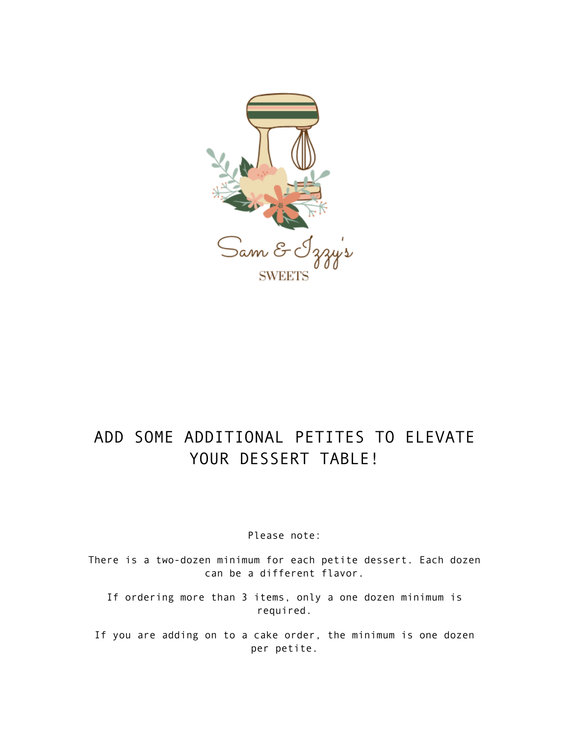

# ADD SOME ADDITIONAL PETITES TO ELEVATE YOUR DESSERT TABLE!

Please note:

There is a two-dozen minimum for each petite dessert. Each dozen can be a different flavor.

If ordering more than 3 items, only a one dozen minimum is required.

If you are adding on to a cake order, the minimum is one dozen per petite.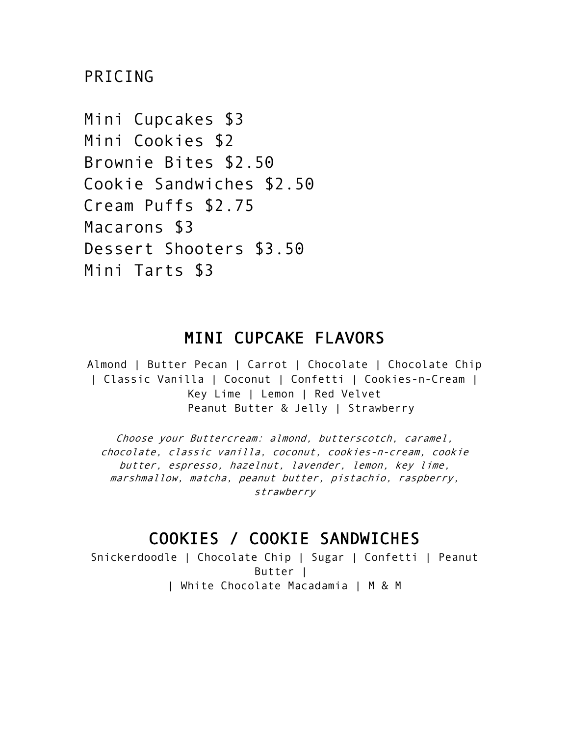PRICING

Mini Cupcakes \$3 Mini Cookies \$2 Brownie Bites \$2.50 Cookie Sandwiches \$2.50 Cream Puffs \$2.75 Macarons \$3 Dessert Shooters \$3.50 Mini Tarts \$3

# MINI CUPCAKE FLAVORS

Almond | Butter Pecan | Carrot | Chocolate | Chocolate Chip | Classic Vanilla | Coconut | Confetti | Cookies-n-Cream | Key Lime | Lemon | Red Velvet Peanut Butter & Jelly | Strawberry

Choose your Buttercream: almond, butterscotch, caramel, chocolate, classic vanilla, coconut, cookies-n-cream, cookie butter, espresso, hazelnut, lavender, lemon, key lime, marshmallow, matcha, peanut butter, pistachio, raspberry, strawberry

# COOKIES / COOKIE SANDWICHES

Snickerdoodle | Chocolate Chip | Sugar | Confetti | Peanut Butter | | White Chocolate Macadamia | M & M